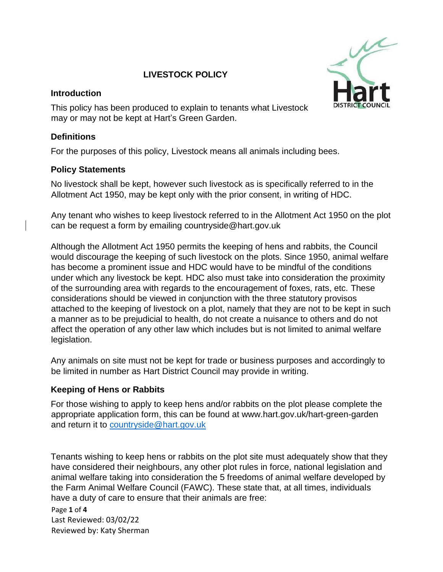## **LIVESTOCK POLICY**

#### **Introduction**

This policy has been produced to explain to tenants what Livestock may or may not be kept at Hart's Green Garden.

#### **Definitions**

For the purposes of this policy, Livestock means all animals including bees.

### **Policy Statements**

No livestock shall be kept, however such livestock as is specifically referred to in the Allotment Act 1950, may be kept only with the prior consent, in writing of HDC.

Any tenant who wishes to keep livestock referred to in the Allotment Act 1950 on the plot can be request a form by emailing countryside@hart.gov.uk

Although the Allotment Act 1950 permits the keeping of hens and rabbits, the Council would discourage the keeping of such livestock on the plots. Since 1950, animal welfare has become a prominent issue and HDC would have to be mindful of the conditions under which any livestock be kept. HDC also must take into consideration the proximity of the surrounding area with regards to the encouragement of foxes, rats, etc. These considerations should be viewed in conjunction with the three statutory provisos attached to the keeping of livestock on a plot, namely that they are not to be kept in such a manner as to be prejudicial to health, do not create a nuisance to others and do not affect the operation of any other law which includes but is not limited to animal welfare legislation.

Any animals on site must not be kept for trade or business purposes and accordingly to be limited in number as Hart District Council may provide in writing.

### **Keeping of Hens or Rabbits**

For those wishing to apply to keep hens and/or rabbits on the plot please complete the appropriate application form, this can be found at www.hart.gov.uk/hart-green-garden and return it to [countryside@hart.gov.uk](mailto:countryside@hart.gov.uk)

Tenants wishing to keep hens or rabbits on the plot site must adequately show that they have considered their neighbours, any other plot rules in force, national legislation and animal welfare taking into consideration the 5 freedoms of animal welfare developed by the Farm Animal Welfare Council (FAWC). These state that, at all times, individuals have a duty of care to ensure that their animals are free:

Page **1** of **4** Last Reviewed: 03/02/22 Reviewed by: Katy Sherman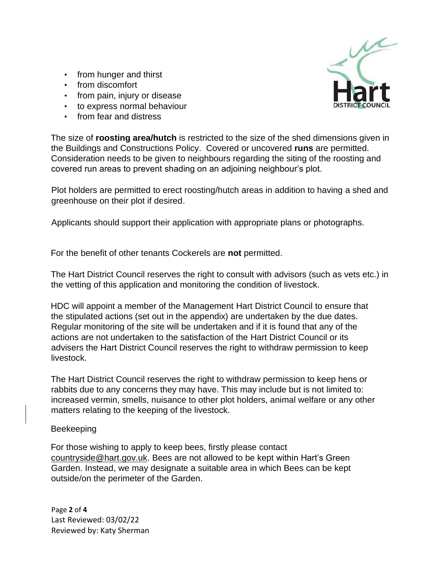- from hunger and thirst
- from discomfort
- from pain, injury or disease
- to express normal behaviour
- from fear and distress



The size of **roosting area/hutch** is restricted to the size of the shed dimensions given in the Buildings and Constructions Policy. Covered or uncovered **runs** are permitted. Consideration needs to be given to neighbours regarding the siting of the roosting and covered run areas to prevent shading on an adjoining neighbour's plot.

Plot holders are permitted to erect roosting/hutch areas in addition to having a shed and greenhouse on their plot if desired.

Applicants should support their application with appropriate plans or photographs.

For the benefit of other tenants Cockerels are **not** permitted.

The Hart District Council reserves the right to consult with advisors (such as vets etc.) in the vetting of this application and monitoring the condition of livestock.

HDC will appoint a member of the Management Hart District Council to ensure that the stipulated actions (set out in the appendix) are undertaken by the due dates. Regular monitoring of the site will be undertaken and if it is found that any of the actions are not undertaken to the satisfaction of the Hart District Council or its advisers the Hart District Council reserves the right to withdraw permission to keep livestock.

The Hart District Council reserves the right to withdraw permission to keep hens or rabbits due to any concerns they may have. This may include but is not limited to: increased vermin, smells, nuisance to other plot holders, animal welfare or any other matters relating to the keeping of the livestock.

#### Beekeeping

For those wishing to apply to keep bees, firstly please contact [countryside@hart.gov.uk.](mailto:countryside@hart.gov.uk) Bees are not allowed to be kept within Hart's Green Garden. Instead, we may designate a suitable area in which Bees can be kept outside/on the perimeter of the Garden.

Page **2** of **4** Last Reviewed: 03/02/22 Reviewed by: Katy Sherman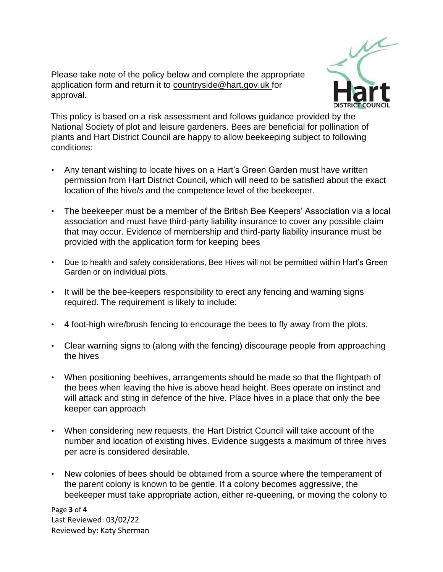Please take note of the policy below and complete the appropriate application form and return it to [countryside@hart.gov.uk](mailto:countryside@hart.gov.uk) for approval.



This policy is based on a risk assessment and follows guidance provided by the National Society of plot and leisure gardeners. Bees are beneficial for pollination of plants and Hart District Council are happy to allow beekeeping subject to following conditions:

- Any tenant wishing to locate hives on a Hart's Green Garden must have written permission from Hart District Council, which will need to be satisfied about the exact location of the hive/s and the competence level of the beekeeper.
- The beekeeper must be a member of the British Bee Keepers' Association via a local association and must have third-party liability insurance to cover any possible claim that may occur. Evidence of membership and third-party liability insurance must be provided with the application form for keeping bees
- Due to health and safety considerations, Bee Hives will not be permitted within Hart's Green Garden or on individual plots.
- It will be the bee-keepers responsibility to erect any fencing and warning signs required. The requirement is likely to include:
- 4 foot-high wire/brush fencing to encourage the bees to fly away from the plots.
- Clear warning signs to (along with the fencing) discourage people from approaching the hives
- When positioning beehives, arrangements should be made so that the flightpath of the bees when leaving the hive is above head height. Bees operate on instinct and will attack and sting in defence of the hive. Place hives in a place that only the bee keeper can approach
- When considering new requests, the Hart District Council will take account of the number and location of existing hives. Evidence suggests a maximum of three hives per acre is considered desirable.
- New colonies of bees should be obtained from a source where the temperament of the parent colony is known to be gentle. If a colony becomes aggressive, the beekeeper must take appropriate action, either re-queening, or moving the colony to

Page **3** of **4** Last Reviewed: 03/02/22 Reviewed by: Katy Sherman